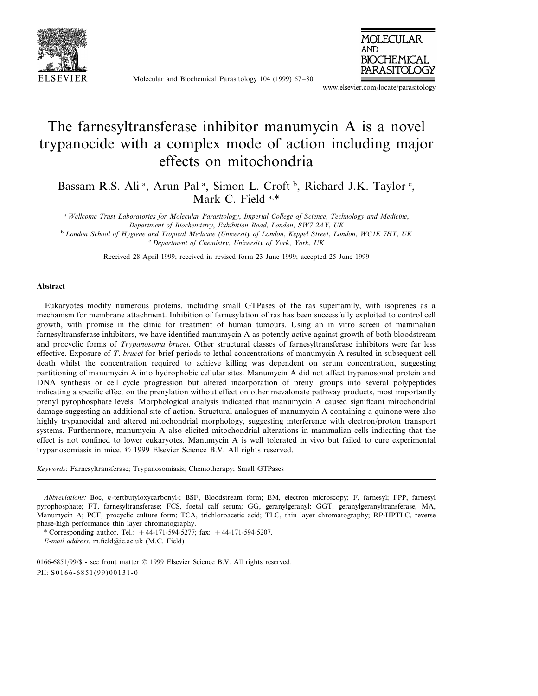

Molecular and Biochemical Parasitology 104 (1999) 67–80



www.elsevier.com/locate/parasitology

# The farnesyltransferase inhibitor manumycin A is a novel trypanocide with a complex mode of action including major effects on mitochondria

Bassam R.S. Ali<sup>a</sup>, Arun Pal<sup>a</sup>, Simon L. Croft<sup>b</sup>, Richard J.K. Taylor<sup>c</sup>, Mark C. Field a,\*

<sup>a</sup> *Wellcome Trust Laboratories for Molecular Parasitology*, *Imperial College of Science*, *Technology and Medicine*, *Department of Biochemistry*, *Exhibition Road*, *London*, *SW*<sup>7</sup> <sup>2</sup>*AY*, *UK* <sup>b</sup> *London School of Hygiene and Tropical Medicine* (*Uni*6*ersity of London*, *Keppel Street*, *London*, *WC*1*E* <sup>7</sup>*HT*, *UK* <sup>c</sup> *Department of Chemistry*, *Uni*6*ersity of York*, *York*, *UK*

Received 28 April 1999; received in revised form 23 June 1999; accepted 25 June 1999

#### **Abstract**

Eukaryotes modify numerous proteins, including small GTPases of the ras superfamily, with isoprenes as a mechanism for membrane attachment. Inhibition of farnesylation of ras has been successfully exploited to control cell growth, with promise in the clinic for treatment of human tumours. Using an in vitro screen of mammalian farnesyltransferase inhibitors, we have identified manumycin A as potently active against growth of both bloodstream and procyclic forms of *Trypanosoma brucei*. Other structural classes of farnesyltransferase inhibitors were far less effective. Exposure of *T*. *brucei* for brief periods to lethal concentrations of manumycin A resulted in subsequent cell death whilst the concentration required to achieve killing was dependent on serum concentration, suggesting partitioning of manumycin A into hydrophobic cellular sites. Manumycin A did not affect trypanosomal protein and DNA synthesis or cell cycle progression but altered incorporation of prenyl groups into several polypeptides indicating a specific effect on the prenylation without effect on other mevalonate pathway products, most importantly prenyl pyrophosphate levels. Morphological analysis indicated that manumycin A caused significant mitochondrial damage suggesting an additional site of action. Structural analogues of manumycin A containing a quinone were also highly trypanocidal and altered mitochondrial morphology, suggesting interference with electron/proton transport systems. Furthermore, manumycin A also elicited mitochondrial alterations in mammalian cells indicating that the effect is not confined to lower eukaryotes. Manumycin A is well tolerated in vivo but failed to cure experimental trypanosomiasis in mice. © 1999 Elsevier Science B.V. All rights reserved.

*Keywords*: Farnesyltransferase; Trypanosomiasis; Chemotherapy; Small GTPases

*Abbreviations*: Boc, *n*-tertbutyloxycarbonyl-; BSF, Bloodstream form; EM, electron microscopy; F, farnesyl; FPP, farnesyl pyrophosphate; FT, farnesyltransferase; FCS, foetal calf serum; GG, geranylgeranyl; GGT, geranylgeranyltransferase; MA, Manumycin A; PCF, procyclic culture form; TCA, trichloroacetic acid; TLC, thin layer chromatography; RP-HPTLC, reverse phase-high performance thin layer chromatography.

\* Corresponding author. Tel.: +44-171-594-5277; fax: +44-171-594-5207.

0166-6851/99/\$ - see front matter © 1999 Elsevier Science B.V. All rights reserved. PII: S0166-6851(99)00131-0

*E*-*mail address*: m.field@ic.ac.uk (M.C. Field)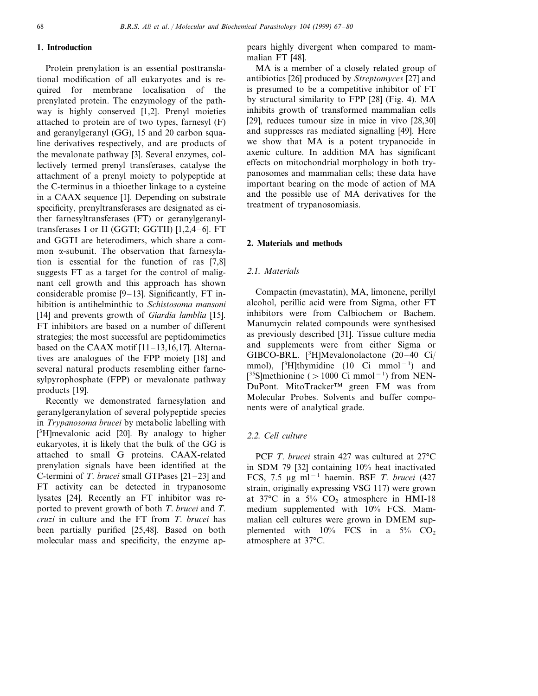# **1. Introduction**

Protein prenylation is an essential posttranslational modification of all eukaryotes and is required for membrane localisation of the prenylated protein. The enzymology of the pathway is highly conserved [1,2]. Prenyl moieties attached to protein are of two types, farnesyl (F) and geranylgeranyl (GG), 15 and 20 carbon squaline derivatives respectively, and are products of the mevalonate pathway [3]. Several enzymes, collectively termed prenyl transferases, catalyse the attachment of a prenyl moiety to polypeptide at the C-terminus in a thioether linkage to a cysteine in a CAAX sequence [1]. Depending on substrate specificity, prenyltransferases are designated as either farnesyltransferases (FT) or geranylgeranyltransferases I or II (GGTI; GGTII) [1,2,4–6]. FT and GGTI are heterodimers, which share a common a-subunit. The observation that farnesylation is essential for the function of ras [7,8] suggests FT as a target for the control of malignant cell growth and this approach has shown considerable promise [9–13]. Significantly, FT inhibition is antihelminthic to *Schistosoma mansoni* [14] and prevents growth of *Giardia lamblia* [15]. FT inhibitors are based on a number of different strategies; the most successful are peptidomimetics based on the CAAX motif [11–13,16,17]. Alternatives are analogues of the FPP moiety [18] and several natural products resembling either farnesylpyrophosphate (FPP) or mevalonate pathway products [19].

Recently we demonstrated farnesylation and geranylgeranylation of several polypeptide species in *Trypanosoma brucei* by metabolic labelling with [ 3 H]mevalonic acid [20]. By analogy to higher eukaryotes, it is likely that the bulk of the GG is attached to small G proteins. CAAX-related prenylation signals have been identified at the C-termini of *T*. *brucei* small GTPases [21–23] and FT activity can be detected in trypanosome lysates [24]. Recently an FT inhibitor was reported to prevent growth of both *T*. *brucei* and *T*. *cruzi* in culture and the FT from *T*. *brucei* has been partially purified [25,48]. Based on both molecular mass and specificity, the enzyme appears highly divergent when compared to mammalian FT [48].

MA is a member of a closely related group of antibiotics [26] produced by *Streptomyces* [27] and is presumed to be a competitive inhibitor of FT by structural similarity to FPP [28] (Fig. 4). MA inhibits growth of transformed mammalian cells [29], reduces tumour size in mice in vivo [28,30] and suppresses ras mediated signalling [49]. Here we show that MA is a potent trypanocide in axenic culture. In addition MA has significant effects on mitochondrial morphology in both trypanosomes and mammalian cells; these data have important bearing on the mode of action of MA and the possible use of MA derivatives for the treatment of trypanosomiasis.

## **2. Materials and methods**

#### <sup>2</sup>.1. *Materials*

Compactin (mevastatin), MA, limonene, perillyl alcohol, perillic acid were from Sigma, other FT inhibitors were from Calbiochem or Bachem. Manumycin related compounds were synthesised as previously described [31]. Tissue culture media and supplements were from either Sigma or GIBCO-BRL. [3 H]Mevalonolactone (20–40 Ci/ mmol),  $[3H]$ thymidine (10 Ci mmol<sup>-1</sup>) and [<sup>35</sup>S]methionine ( $> 1000$  Ci mmol<sup>-1</sup>) from NEN-DuPont. MitoTracker™ green FM was from Molecular Probes. Solvents and buffer components were of analytical grade.

## <sup>2</sup>.2. *Cell culture*

PCF *T*. *brucei* strain 427 was cultured at 27°C in SDM 79 [32] containing 10% heat inactivated FCS, 7.5 mg ml−<sup>1</sup> haemin. BSF *T*. *brucei* (427 strain, originally expressing VSG 117) were grown at  $37^{\circ}$ C in a  $5\%$  CO<sub>2</sub> atmosphere in HMI-18 medium supplemented with 10% FCS. Mammalian cell cultures were grown in DMEM supplemented with  $10\%$  FCS in a  $5\%$  CO<sub>2</sub> atmosphere at 37°C.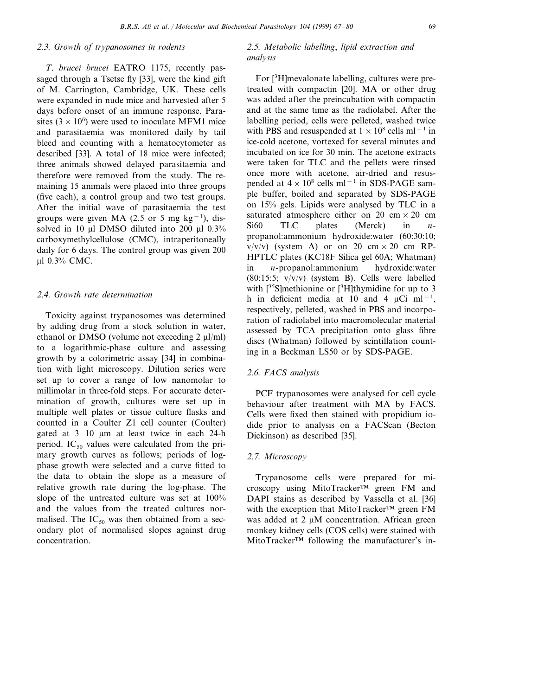# <sup>2</sup>.3. *Growth of trypanosomes in rodents*

*T*. *brucei brucei* EATRO 1175, recently passaged through a Tsetse fly [33], were the kind gift of M. Carrington, Cambridge, UK. These cells were expanded in nude mice and harvested after 5 days before onset of an immune response. Parasites  $(3 \times 10^6)$  were used to inoculate MFM1 mice and parasitaemia was monitored daily by tail bleed and counting with a hematocytometer as described [33]. A total of 18 mice were infected; three animals showed delayed parasitaemia and therefore were removed from the study. The remaining 15 animals were placed into three groups (five each), a control group and two test groups. After the initial wave of parasitaemia the test groups were given MA (2.5 or 5 mg kg<sup>-1</sup>), dissolved in 10  $\mu$ l DMSO diluted into 200  $\mu$ l 0.3% carboxymethylcellulose (CMC), intraperitoneally daily for 6 days. The control group was given 200 ul 0.3% CMC.

# <sup>2</sup>.4. *Growth rate determination*

Toxicity against trypanosomes was determined by adding drug from a stock solution in water, ethanol or DMSO (volume not exceeding  $2 \mu / m$ l) to a logarithmic-phase culture and assessing growth by a colorimetric assay [34] in combination with light microscopy. Dilution series were set up to cover a range of low nanomolar to millimolar in three-fold steps. For accurate determination of growth, cultures were set up in multiple well plates or tissue culture flasks and counted in a Coulter Z1 cell counter (Coulter) gated at  $3-10$  µm at least twice in each 24-h period. IC<sub>50</sub> values were calculated from the primary growth curves as follows; periods of logphase growth were selected and a curve fitted to the data to obtain the slope as a measure of relative growth rate during the log-phase. The slope of the untreated culture was set at 100% and the values from the treated cultures normalised. The  $IC_{50}$  was then obtained from a secondary plot of normalised slopes against drug concentration.

# <sup>2</sup>.5. *Metabolic labelling*, *lipid extraction and analysis*

For [<sup>3</sup> H]mevalonate labelling, cultures were pretreated with compactin [20]. MA or other drug was added after the preincubation with compactin and at the same time as the radiolabel. After the labelling period, cells were pelleted, washed twice with PBS and resuspended at  $1 \times 10^8$  cells ml<sup>-1</sup> in ice-cold acetone, vortexed for several minutes and incubated on ice for 30 min. The acetone extracts were taken for TLC and the pellets were rinsed once more with acetone, air-dried and resuspended at  $4 \times 10^8$  cells ml<sup>-1</sup> in SDS-PAGE sample buffer, boiled and separated by SDS-PAGE on 15% gels. Lipids were analysed by TLC in a saturated atmosphere either on 20 cm  $\times$  20 cm Si60 TLC plates (Merck) in *n*propanol:ammonium hydroxide:water (60:30:10;  $v/v/v$ ) (system A) or on 20 cm  $\times$  20 cm RP-HPTLC plates (KC18F Silica gel 60A; Whatman) in *n*-propanol:ammonium hydroxide:water (80:15:5;  $v/v/v$ ) (system B). Cells were labelled with  $[^{35}S]$ methionine or  $[^{3}H]$ thymidine for up to 3 h in deficient media at 10 and 4  $\mu$ Ci ml<sup>-1</sup>, respectively, pelleted, washed in PBS and incorporation of radiolabel into macromolecular material assessed by TCA precipitation onto glass fibre discs (Whatman) followed by scintillation counting in a Beckman LS50 or by SDS-PAGE.

## <sup>2</sup>.6. *FACS analysis*

PCF trypanosomes were analysed for cell cycle behaviour after treatment with MA by FACS. Cells were fixed then stained with propidium iodide prior to analysis on a FACScan (Becton Dickinson) as described [35].

# <sup>2</sup>.7. *Microscopy*

Trypanosome cells were prepared for microscopy using MitoTracker™ green FM and DAPI stains as described by Vassella et al. [36] with the exception that MitoTracker™ green FM was added at  $2 \mu M$  concentration. African green monkey kidney cells (COS cells) were stained with MitoTracker™ following the manufacturer's in-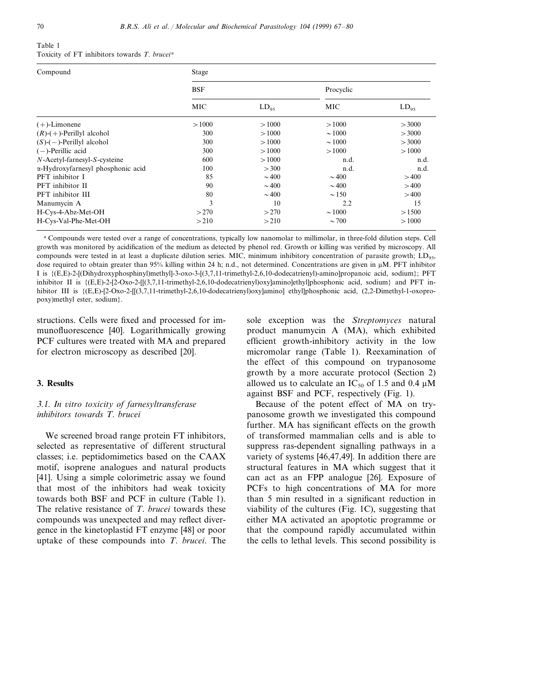| Table 1 |  |                                                          |  |  |
|---------|--|----------------------------------------------------------|--|--|
|         |  | Toxicity of FT inhibitors towards T. brucei <sup>a</sup> |  |  |

| Compound                          | Stage      |            |             |           |  |  |
|-----------------------------------|------------|------------|-------------|-----------|--|--|
|                                   | <b>BSF</b> |            | Procyclic   |           |  |  |
|                                   | <b>MIC</b> | $LD_{95}$  | MIC         | $LD_{95}$ |  |  |
| $(+)$ -Limonene                   | >1000      | >1000      | >1000       | >3000     |  |  |
| $(R)-(+)$ -Perillyl alcohol       | 300        | >1000      | $\sim 1000$ | >3000     |  |  |
| $(S)$ - $(-)$ -Perillyl alcohol   | 300        | >1000      | $\sim 1000$ | >3000     |  |  |
| $(-)$ -Perillic acid              | 300        | >1000      | >1000       | >1000     |  |  |
| N-Acetyl-farnesyl-S-cysteine      | 600        | >1000      | n.d.        | n.d.      |  |  |
| α-Hydroxyfarnesyl phosphonic acid | 100        | >300       | n.d.        | n.d.      |  |  |
| PFT inhibitor I                   | 85         | $\sim$ 400 | $\sim$ 400  | >400      |  |  |
| PFT inhibitor II                  | 90         | $\sim$ 400 | $\sim$ 400  | >400      |  |  |
| PFT inhibitor III                 | 80         | $\sim$ 400 | $\sim$ 150  | >400      |  |  |
| Manumycin A                       | 3          | 10         | 2.2         | 15        |  |  |
| H-Cys-4-Abz-Met-OH                | >270       | >270       | $\sim 1000$ | >1500     |  |  |
| H-Cys-Val-Phe-Met-OH              | >210       | >210       | $\sim$ 700  | >1000     |  |  |

<sup>a</sup> Compounds were tested over a range of concentrations, typically low nanomolar to millimolar, in three-fold dilution steps. Cell growth was monitored by acidification of the medium as detected by phenol red. Growth or killing was verified by microscopy. All compounds were tested in at least a duplicate dilution series. MIC, minimum inhibitory concentration of parasite growth; LD<sub>95</sub>, dose required to obtain greater than 95% killing within 24 h; n.d., not determined. Concentrations are given in  $\mu$ M. PFT inhibitor I is {(E,E)-2-[(Dihydroxyphosphinyl)methyl]-3-oxo-3-[(3,7,11-trimethyl-2,6,10-dodecatrienyl)-amino]propanoic acid, sodium}; PFT inhibitor II is {(E,E)-2-[2-Oxo-2-[[(3,7,11-trimethyl-2,6,10-dodecatrienyl)oxy]amino]ethyl]phosphonic acid, sodium} and PFT inhibitor III is  ${E.E}$ -[2-Oxo-2-[[(3,7,11-trimethyl-2,6,10-dodecatrienyl)oxy]amino] ethyl]phosphonic acid, (2,2-Dimethyl-1-oxopropoxy)methyl ester, sodium}.

structions. Cells were fixed and processed for immunofluorescence [40]. Logarithmically growing PCF cultures were treated with MA and prepared for electron microscopy as described [20].

#### **3. Results**

# 3.1. In vitro toxicity of farnesyltransferase *inhibitors towards T*. *brucei*

We screened broad range protein FT inhibitors, selected as representative of different structural classes; i.e. peptidomimetics based on the CAAX motif, isoprene analogues and natural products [41]. Using a simple colorimetric assay we found that most of the inhibitors had weak toxicity towards both BSF and PCF in culture (Table 1). The relative resistance of *T*. *brucei* towards these compounds was unexpected and may reflect divergence in the kinetoplastid FT enzyme [48] or poor uptake of these compounds into *T*. *brucei*. The sole exception was the *Streptomyces* natural product manumycin A (MA), which exhibited efficient growth-inhibitory activity in the low micromolar range (Table 1). Reexamination of the effect of this compound on trypanosome growth by a more accurate protocol (Section 2) allowed us to calculate an  $IC_{50}$  of 1.5 and 0.4  $\mu$ M against BSF and PCF, respectively (Fig. 1).

Because of the potent effect of MA on trypanosome growth we investigated this compound further. MA has significant effects on the growth of transformed mammalian cells and is able to suppress ras-dependent signalling pathways in a variety of systems [46,47,49]. In addition there are structural features in MA which suggest that it can act as an FPP analogue [26]. Exposure of PCFs to high concentrations of MA for more than 5 min resulted in a significant reduction in viability of the cultures (Fig. 1C), suggesting that either MA activated an apoptotic programme or that the compound rapidly accumulated within the cells to lethal levels. This second possibility is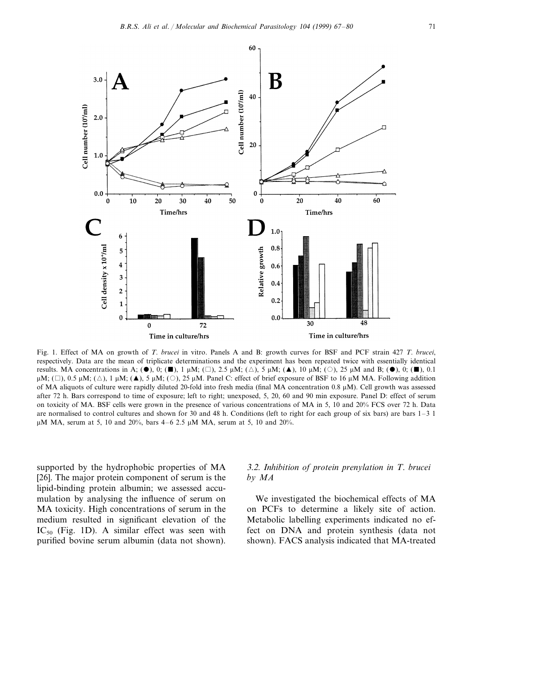

Fig. 1. Effect of MA on growth of *T*. *brucei* in vitro. Panels A and B: growth curves for BSF and PCF strain 427 *T*. *brucei*, respectively. Data are the mean of triplicate determinations and the experiment has been repeated twice with essentially identical results. MA concentrations in A; ( $\bullet$ ), 0; ( $\blacksquare$ ), 1  $\mu$ M; ( $\square$ ), 2.5  $\mu$ M; ( $\triangle$ ), 5  $\mu$ M; ( $\blacktriangle$ ), 10  $\mu$ M; ( $\square$ ), 25  $\mu$ M and B; ( $\bullet$ ), 0; ( $\blacksquare$ ), 0.1  $\mu$ M; ( $\square$ ), 0.5  $\mu$ M; ( $\triangle$ ), 1  $\mu$ M; ( $\blacktriangle$ ), 5  $\mu$ M; ( $\bigcirc$ ), 25  $\mu$ M. Panel C: effect of brief exposure of BSF to 16  $\mu$ M MA. Following addition of MA aliquots of culture were rapidly diluted 20-fold into fresh media (final MA concentration  $0.8 \mu M$ ). Cell growth was assessed after 72 h. Bars correspond to time of exposure; left to right; unexposed, 5, 20, 60 and 90 min exposure. Panel D: effect of serum on toxicity of MA. BSF cells were grown in the presence of various concentrations of MA in 5, 10 and 20% FCS over 72 h. Data are normalised to control cultures and shown for 30 and 48 h. Conditions (left to right for each group of six bars) are bars 1–3 1  $\mu$ M MA, serum at 5, 10 and 20%, bars 4–6 2.5  $\mu$ M MA, serum at 5, 10 and 20%.

supported by the hydrophobic properties of MA [26]. The major protein component of serum is the lipid-binding protein albumin; we assessed accumulation by analysing the influence of serum on MA toxicity. High concentrations of serum in the medium resulted in significant elevation of the  $IC_{50}$  (Fig. 1D). A similar effect was seen with purified bovine serum albumin (data not shown).

# 3.2. *Inhibition of protein prenylation in T*. *brucei by MA*

We investigated the biochemical effects of MA on PCFs to determine a likely site of action. Metabolic labelling experiments indicated no effect on DNA and protein synthesis (data not shown). FACS analysis indicated that MA-treated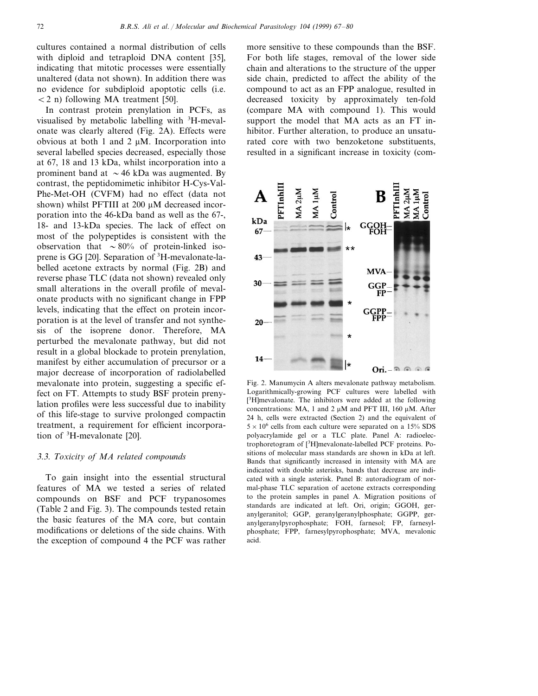cultures contained a normal distribution of cells with diploid and tetraploid DNA content [35], indicating that mitotic processes were essentially unaltered (data not shown). In addition there was no evidence for subdiploid apoptotic cells (i.e.  $\leq$  2 n) following MA treatment [50].

In contrast protein prenylation in PCFs, as visualised by metabolic labelling with <sup>3</sup>H-mevalonate was clearly altered (Fig. 2A). Effects were obvious at both 1 and 2  $\mu$ M. Incorporation into several labelled species decreased, especially those at 67, 18 and 13 kDa, whilst incorporation into a prominent band at  $\sim$  46 kDa was augmented. By contrast, the peptidomimetic inhibitor H-Cys-Val-Phe-Met-OH (CVFM) had no effect (data not shown) whilst PFTIII at 200  $\mu$ M decreased incorporation into the 46-kDa band as well as the 67-, 18- and 13-kDa species. The lack of effect on most of the polypeptides is consistent with the observation that  $\sim 80\%$  of protein-linked isoprene is GG [20]. Separation of <sup>3</sup>H-mevalonate-labelled acetone extracts by normal (Fig. 2B) and reverse phase TLC (data not shown) revealed only small alterations in the overall profile of mevalonate products with no significant change in FPP levels, indicating that the effect on protein incorporation is at the level of transfer and not synthesis of the isoprene donor. Therefore, MA perturbed the mevalonate pathway, but did not result in a global blockade to protein prenylation, manifest by either accumulation of precursor or a major decrease of incorporation of radiolabelled mevalonate into protein, suggesting a specific effect on FT. Attempts to study BSF protein prenylation profiles were less successful due to inability of this life-stage to survive prolonged compactin treatment, a requirement for efficient incorporation of <sup>3</sup> H-mevalonate [20].

# 3.3. *Toxicity of MA related compounds*

To gain insight into the essential structural features of MA we tested a series of related compounds on BSF and PCF trypanosomes (Table 2 and Fig. 3). The compounds tested retain the basic features of the MA core, but contain modifications or deletions of the side chains. With the exception of compound 4 the PCF was rather

more sensitive to these compounds than the BSF. For both life stages, removal of the lower side chain and alterations to the structure of the upper side chain, predicted to affect the ability of the compound to act as an FPP analogue, resulted in decreased toxicity by approximately ten-fold (compare MA with compound 1). This would support the model that MA acts as an FT inhibitor. Further alteration, to produce an unsaturated core with two benzoketone substituents, resulted in a significant increase in toxicity (com-



Fig. 2. Manumycin A alters mevalonate pathway metabolism. Logarithmically-growing PCF cultures were labelled with [<sup>3</sup>H]mevalonate. The inhibitors were added at the following concentrations: MA, 1 and 2  $\mu$ M and PFT III, 160  $\mu$ M. After 24 h, cells were extracted (Section 2) and the equivalent of  $5 \times 10^6$  cells from each culture were separated on a 15% SDS polyacrylamide gel or a TLC plate. Panel A: radioelectrophoretogram of [<sup>3</sup> H]mevalonate-labelled PCF proteins. Positions of molecular mass standards are shown in kDa at left. Bands that significantly increased in intensity with MA are indicated with double asterisks, bands that decrease are indicated with a single asterisk. Panel B: autoradiogram of normal-phase TLC separation of acetone extracts corresponding to the protein samples in panel A. Migration positions of standards are indicated at left. Ori, origin; GGOH, geranylgeranitol; GGP, geranylgeranylphosphate; GGPP, geranylgeranylpyrophosphate; FOH, farnesol; FP, farnesylphosphate; FPP, farnesylpyrophosphate; MVA, mevalonic acid.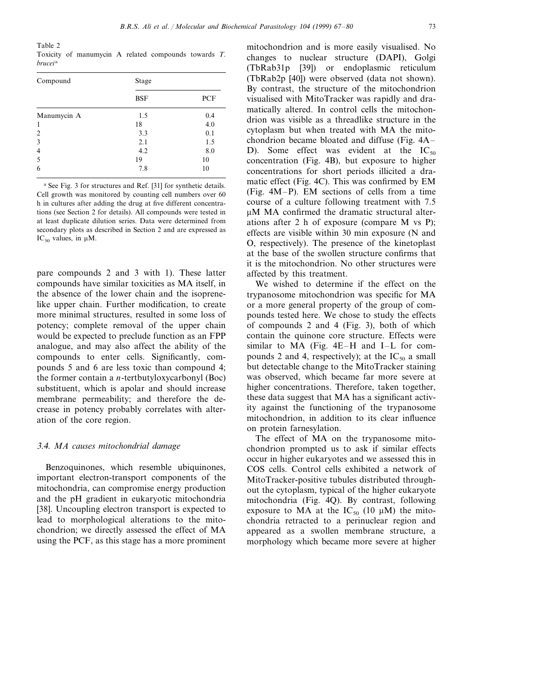Table 2 Toxicity of manumycin A related compounds towards *T*. *brucei* <sup>a</sup>

| Compound       | Stage      |     |
|----------------|------------|-----|
|                | <b>BSF</b> | PCF |
| Manumycin A    | 1.5        | 0.4 |
| 1              | 18         | 4.0 |
| 2              | 3.3        | 0.1 |
| 3              | 2.1        | 1.5 |
| $\overline{4}$ | 4.2        | 8.0 |
| 5              | 19         | 10  |
| 6              | 7.8        | 10  |

<sup>a</sup> See Fig. 3 for structures and Ref. [31] for synthetic details. Cell growth was monitored by counting cell numbers over 60 h in cultures after adding the drug at five different concentrations (see Section 2 for details). All compounds were tested in at least duplicate dilution series. Data were determined from secondary plots as described in Section 2 and are expressed as IC<sub>50</sub> values, in  $\mu$ M.

pare compounds 2 and 3 with 1). These latter compounds have similar toxicities as MA itself, in the absence of the lower chain and the isoprenelike upper chain. Further modification, to create more minimal structures, resulted in some loss of potency; complete removal of the upper chain would be expected to preclude function as an FPP analogue, and may also affect the ability of the compounds to enter cells. Significantly, compounds 5 and 6 are less toxic than compound 4; the former contain a *n*-tertbutyloxycarbonyl (Boc) substituent, which is apolar and should increase membrane permeability; and therefore the decrease in potency probably correlates with alteration of the core region.

#### 3.4. *MA causes mitochondrial damage*

Benzoquinones, which resemble ubiquinones, important electron-transport components of the mitochondria, can compromise energy production and the pH gradient in eukaryotic mitochondria [38]. Uncoupling electron transport is expected to lead to morphological alterations to the mitochondrion; we directly assessed the effect of MA using the PCF, as this stage has a more prominent

mitochondrion and is more easily visualised. No changes to nuclear structure (DAPI), Golgi (TbRab31p [39]) or endoplasmic reticulum (TbRab2p [40]) were observed (data not shown). By contrast, the structure of the mitochondrion visualised with MitoTracker was rapidly and dramatically altered. In control cells the mitochondrion was visible as a threadlike structure in the cytoplasm but when treated with MA the mitochondrion became bloated and diffuse (Fig. 4A– D). Some effect was evident at the  $IC_{50}$ concentration (Fig. 4B), but exposure to higher concentrations for short periods illicited a dramatic effect (Fig. 4C). This was confirmed by EM (Fig. 4M–P). EM sections of cells from a time course of a culture following treatment with 7.5  $\mu$ M MA confirmed the dramatic structural alterations after 2 h of exposure (compare M vs P); effects are visible within 30 min exposure (N and O, respectively). The presence of the kinetoplast at the base of the swollen structure confirms that it is the mitochondrion. No other structures were affected by this treatment.

We wished to determine if the effect on the trypanosome mitochondrion was specific for MA or a more general property of the group of compounds tested here. We chose to study the effects of compounds 2 and 4 (Fig. 3), both of which contain the quinone core structure. Effects were similar to MA (Fig. 4E–H and I–L for compounds 2 and 4, respectively); at the  $IC_{50}$  a small but detectable change to the MitoTracker staining was observed, which became far more severe at higher concentrations. Therefore, taken together, these data suggest that MA has a significant activity against the functioning of the trypanosome mitochondrion, in addition to its clear influence on protein farnesylation.

The effect of MA on the trypanosome mitochondrion prompted us to ask if similar effects occur in higher eukaryotes and we assessed this in COS cells. Control cells exhibited a network of MitoTracker-positive tubules distributed throughout the cytoplasm, typical of the higher eukaryote mitochondria (Fig. 4Q). By contrast, following exposure to MA at the  $IC_{50}$  (10  $\mu$ M) the mitochondria retracted to a perinuclear region and appeared as a swollen membrane structure, a morphology which became more severe at higher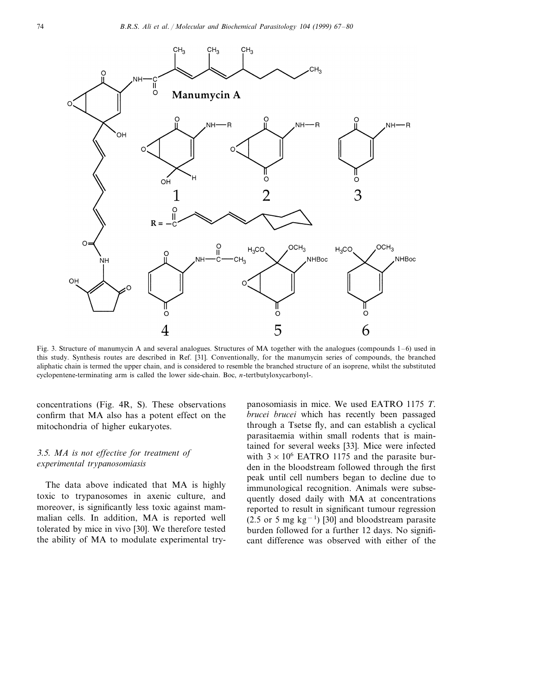

Fig. 3. Structure of manumycin A and several analogues. Structures of MA together with the analogues (compounds 1–6) used in this study. Synthesis routes are described in Ref. [31]. Conventionally, for the manumycin series of compounds, the branched aliphatic chain is termed the upper chain, and is considered to resemble the branched structure of an isoprene, whilst the substituted cyclopentene-terminating arm is called the lower side-chain. Boc, *n*-tertbutyloxycarbonyl-.

concentrations (Fig. 4R, S). These observations confirm that MA also has a potent effect on the mitochondria of higher eukaryotes.

# 3.5. MA is not effective for treatment of *experimental trypanosomiasis*

The data above indicated that MA is highly toxic to trypanosomes in axenic culture, and moreover, is significantly less toxic against mammalian cells. In addition, MA is reported well tolerated by mice in vivo [30]. We therefore tested the ability of MA to modulate experimental trypanosomiasis in mice. We used EATRO 1175 *T*. *brucei brucei* which has recently been passaged through a Tsetse fly, and can establish a cyclical parasitaemia within small rodents that is maintained for several weeks [33]. Mice were infected with  $3 \times 10^6$  EATRO 1175 and the parasite burden in the bloodstream followed through the first peak until cell numbers began to decline due to immunological recognition. Animals were subsequently dosed daily with MA at concentrations reported to result in significant tumour regression  $(2.5 \text{ or } 5 \text{ mg kg}^{-1})$  [30] and bloodstream parasite burden followed for a further 12 days. No significant difference was observed with either of the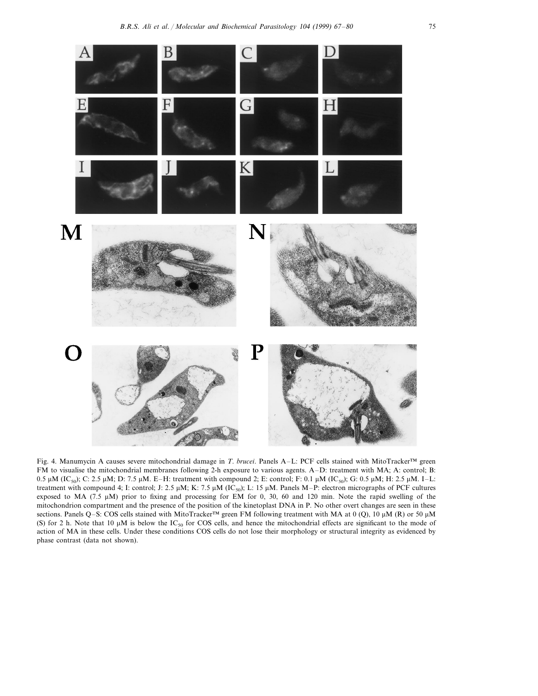

Fig. 4. Manumycin A causes severe mitochondrial damage in *T*. *brucei*. Panels A–L: PCF cells stained with MitoTracker™ green FM to visualise the mitochondrial membranes following 2-h exposure to various agents. A–D: treatment with MA; A: control; B: 0.5  $\mu$ M (IC<sub>50</sub>); C: 2.5  $\mu$ M; D: 7.5  $\mu$ M. E–H: treatment with compound 2; E: control; F: 0.1  $\mu$ M (IC<sub>50</sub>); G: 0.5  $\mu$ M; H: 2.5  $\mu$ M. I–L: treatment with compound 4; I: control; J: 2.5  $\mu$ M; K: 7.5  $\mu$ M (IC<sub>50</sub>); L: 15  $\mu$ M. Panels M-P: electron micrographs of PCF cultures exposed to MA (7.5  $\mu$ M) prior to fixing and processing for EM for 0, 30, 60 and 120 min. Note the rapid swelling of the mitochondrion compartment and the presence of the position of the kinetoplast DNA in P. No other overt changes are seen in these sections. Panels Q–S: COS cells stained with MitoTracker™ green FM following treatment with MA at 0 (Q), 10  $\mu$ M (R) or 50  $\mu$ M (S) for 2 h. Note that 10  $\mu$ M is below the IC<sub>50</sub> for COS cells, and hence the mitochondrial effects are significant to the mode of action of MA in these cells. Under these conditions COS cells do not lose their morphology or structural integrity as evidenced by phase contrast (data not shown).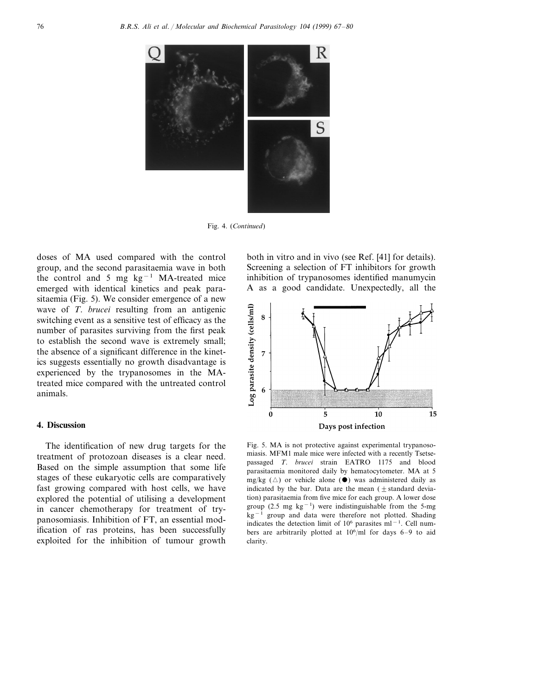

Fig. 4. (*Continued*)

doses of MA used compared with the control group, and the second parasitaemia wave in both the control and 5 mg  $kg^{-1}$  MA-treated mice emerged with identical kinetics and peak parasitaemia (Fig. 5). We consider emergence of a new wave of *T*. *brucei* resulting from an antigenic switching event as a sensitive test of efficacy as the number of parasites surviving from the first peak to establish the second wave is extremely small; the absence of a significant difference in the kinetics suggests essentially no growth disadvantage is experienced by the trypanosomes in the MAtreated mice compared with the untreated control animals.

## **4. Discussion**

The identification of new drug targets for the treatment of protozoan diseases is a clear need. Based on the simple assumption that some life stages of these eukaryotic cells are comparatively fast growing compared with host cells, we have explored the potential of utilising a development in cancer chemotherapy for treatment of trypanosomiasis. Inhibition of FT, an essential modification of ras proteins, has been successfully exploited for the inhibition of tumour growth

both in vitro and in vivo (see Ref. [41] for details). Screening a selection of FT inhibitors for growth inhibition of trypanosomes identified manumycin A as a good candidate. Unexpectedly, all the



Fig. 5. MA is not protective against experimental trypanosomiasis. MFM1 male mice were infected with a recently Tsetsepassaged *T*. *brucei* strain EATRO 1175 and blood parasitaemia monitored daily by hematocytometer. MA at 5 mg/kg ( $\triangle$ ) or vehicle alone ( $\bullet$ ) was administered daily as indicated by the bar. Data are the mean ( $\pm$  standard deviation) parasitaemia from five mice for each group. A lower dose group  $(2.5 \text{ mg kg}^{-1})$  were indistinguishable from the 5-mg  $kg^{-1}$  group and data were therefore not plotted. Shading indicates the detection limit of  $10^6$  parasites ml<sup>-1</sup>. Cell numbers are arbitrarily plotted at 10<sup>6</sup>/ml for days 6-9 to aid clarity.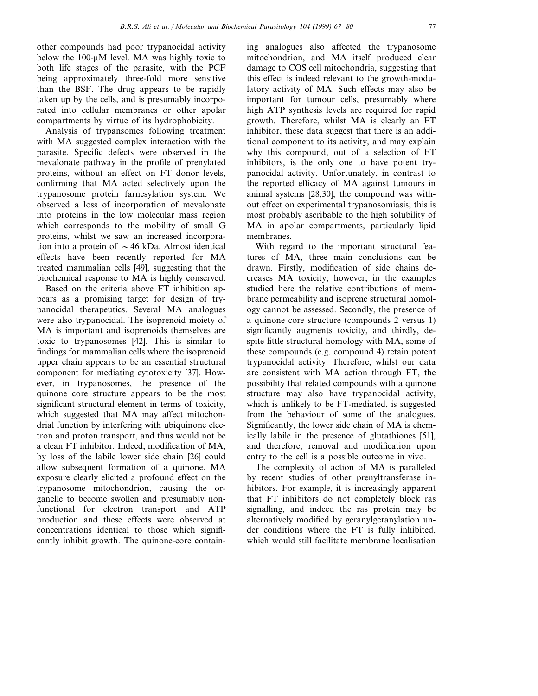other compounds had poor trypanocidal activity below the  $100-\mu M$  level. MA was highly toxic to both life stages of the parasite, with the PCF being approximately three-fold more sensitive than the BSF. The drug appears to be rapidly taken up by the cells, and is presumably incorporated into cellular membranes or other apolar compartments by virtue of its hydrophobicity.

Analysis of trypansomes following treatment with MA suggested complex interaction with the parasite. Specific defects were observed in the mevalonate pathway in the profile of prenylated proteins, without an effect on FT donor levels, confirming that MA acted selectively upon the trypanosome protein farnesylation system. We observed a loss of incorporation of mevalonate into proteins in the low molecular mass region which corresponds to the mobility of small G proteins, whilst we saw an increased incorporation into a protein of  $\sim$  46 kDa. Almost identical effects have been recently reported for MA treated mammalian cells [49], suggesting that the biochemical response to MA is highly conserved.

Based on the criteria above FT inhibition appears as a promising target for design of trypanocidal therapeutics. Several MA analogues were also trypanocidal. The isoprenoid moiety of MA is important and isoprenoids themselves are toxic to trypanosomes [42]. This is similar to findings for mammalian cells where the isoprenoid upper chain appears to be an essential structural component for mediating cytotoxicity [37]. However, in trypanosomes, the presence of the quinone core structure appears to be the most significant structural element in terms of toxicity, which suggested that MA may affect mitochondrial function by interfering with ubiquinone electron and proton transport, and thus would not be a clean FT inhibitor. Indeed, modification of MA, by loss of the labile lower side chain [26] could allow subsequent formation of a quinone. MA exposure clearly elicited a profound effect on the trypanosome mitochondrion, causing the organelle to become swollen and presumably nonfunctional for electron transport and ATP production and these effects were observed at concentrations identical to those which significantly inhibit growth. The quinone-core containing analogues also affected the trypanosome mitochondrion, and MA itself produced clear damage to COS cell mitochondria, suggesting that this effect is indeed relevant to the growth-modulatory activity of MA. Such effects may also be important for tumour cells, presumably where high ATP synthesis levels are required for rapid growth. Therefore, whilst MA is clearly an FT inhibitor, these data suggest that there is an additional component to its activity, and may explain why this compound, out of a selection of FT inhibitors, is the only one to have potent trypanocidal activity. Unfortunately, in contrast to the reported efficacy of MA against tumours in animal systems [28,30], the compound was without effect on experimental trypanosomiasis; this is most probably ascribable to the high solubility of MA in apolar compartments, particularly lipid membranes.

With regard to the important structural features of MA, three main conclusions can be drawn. Firstly, modification of side chains decreases MA toxicity; however, in the examples studied here the relative contributions of membrane permeability and isoprene structural homology cannot be assessed. Secondly, the presence of a quinone core structure (compounds 2 versus 1) significantly augments toxicity, and thirdly, despite little structural homology with MA, some of these compounds (e.g. compound 4) retain potent trypanocidal activity. Therefore, whilst our data are consistent with MA action through FT, the possibility that related compounds with a quinone structure may also have trypanocidal activity, which is unlikely to be FT-mediated, is suggested from the behaviour of some of the analogues. Significantly, the lower side chain of MA is chemically labile in the presence of glutathiones [51], and therefore, removal and modification upon entry to the cell is a possible outcome in vivo.

The complexity of action of MA is paralleled by recent studies of other prenyltransferase inhibitors. For example, it is increasingly apparent that FT inhibitors do not completely block ras signalling, and indeed the ras protein may be alternatively modified by geranylgeranylation under conditions where the FT is fully inhibited, which would still facilitate membrane localisation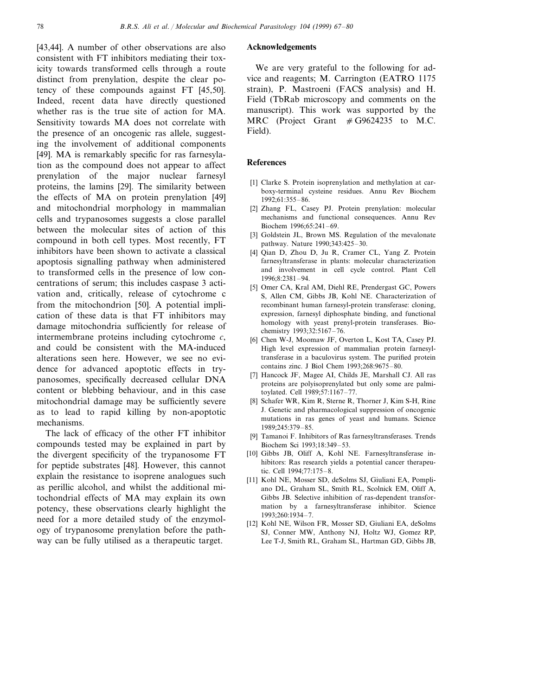[43,44]. A number of other observations are also consistent with FT inhibitors mediating their toxicity towards transformed cells through a route distinct from prenylation, despite the clear potency of these compounds against FT [45,50]. Indeed, recent data have directly questioned whether ras is the true site of action for MA. Sensitivity towards MA does not correlate with the presence of an oncogenic ras allele, suggesting the involvement of additional components [49]. MA is remarkably specific for ras farnesylation as the compound does not appear to affect prenylation of the major nuclear farnesyl proteins, the lamins [29]. The similarity between the effects of MA on protein prenylation [49] and mitochondrial morphology in mammalian cells and trypanosomes suggests a close parallel between the molecular sites of action of this compound in both cell types. Most recently, FT inhibitors have been shown to activate a classical apoptosis signalling pathway when administered to transformed cells in the presence of low concentrations of serum; this includes caspase 3 activation and, critically, release of cytochrome c from the mitochondrion [50]. A potential implication of these data is that FT inhibitors may damage mitochondria sufficiently for release of intermembrane proteins including cytochrome *c*, and could be consistent with the MA-induced alterations seen here. However, we see no evidence for advanced apoptotic effects in trypanosomes, specifically decreased cellular DNA content or blebbing behaviour, and in this case mitochondrial damage may be sufficiently severe as to lead to rapid killing by non-apoptotic mechanisms.

The lack of efficacy of the other FT inhibitor compounds tested may be explained in part by the divergent specificity of the trypanosome FT for peptide substrates [48]. However, this cannot explain the resistance to isoprene analogues such as perillic alcohol, and whilst the additional mitochondrial effects of MA may explain its own potency, these observations clearly highlight the need for a more detailed study of the enzymology of trypanosome prenylation before the pathway can be fully utilised as a therapeutic target.

# **Acknowledgements**

We are very grateful to the following for advice and reagents; M. Carrington (EATRO 1175 strain), P. Mastroeni (FACS analysis) and H. Field (TbRab microscopy and comments on the manuscript). This work was supported by the MRC (Project Grant  $#G9624235$  to M.C. Field).

#### **References**

- [1] Clarke S. Protein isoprenylation and methylation at carboxy-terminal cysteine residues. Annu Rev Biochem 1992;61:355–86.
- [2] Zhang FL, Casey PJ. Protein prenylation: molecular mechanisms and functional consequences. Annu Rev Biochem 1996;65:241–69.
- [3] Goldstein JL, Brown MS. Regulation of the mevalonate pathway. Nature 1990;343:425–30.
- [4] Qian D, Zhou D, Ju R, Cramer CL, Yang Z. Protein farnesyltransferase in plants: molecular characterization and involvement in cell cycle control. Plant Cell 1996;8:2381–94.
- [5] Omer CA, Kral AM, Diehl RE, Prendergast GC, Powers S, Allen CM, Gibbs JB, Kohl NE. Characterization of recombinant human farnesyl-protein transferase: cloning, expression, farnesyl diphosphate binding, and functional homology with yeast prenyl-protein transferases. Biochemistry 1993;32:5167–76.
- [6] Chen W-J, Moomaw JF, Overton L, Kost TA, Casey PJ. High level expression of mammalian protein farnesyltransferase in a baculovirus system. The purified protein contains zinc. J Biol Chem 1993;268:9675–80.
- [7] Hancock JF, Magee AI, Childs JE, Marshall CJ. All ras proteins are polyisoprenylated but only some are palmitoylated. Cell 1989;57:1167–77.
- [8] Schafer WR, Kim R, Sterne R, Thorner J, Kim S-H, Rine J. Genetic and pharmacological suppression of oncogenic mutations in ras genes of yeast and humans. Science 1989;245:379–85.
- [9] Tamanoi F. Inhibitors of Ras farnesyltransferases. Trends Biochem Sci 1993;18:349–53.
- [10] Gibbs JB, Oliff A, Kohl NE. Farnesyltransferase inhibitors: Ras research yields a potential cancer therapeutic. Cell 1994;77:175–8.
- [11] Kohl NE, Mosser SD, deSolms SJ, Giuliani EA, Pompliano DL, Graham SL, Smith RL, Scolnick EM, Oliff A, Gibbs JB. Selective inhibition of ras-dependent transformation by a farnesyltransferase inhibitor. Science 1993;260:1934–7.
- [12] Kohl NE, Wilson FR, Mosser SD, Giuliani EA, deSolms SJ, Conner MW, Anthony NJ, Holtz WJ, Gomez RP, Lee T-J, Smith RL, Graham SL, Hartman GD, Gibbs JB,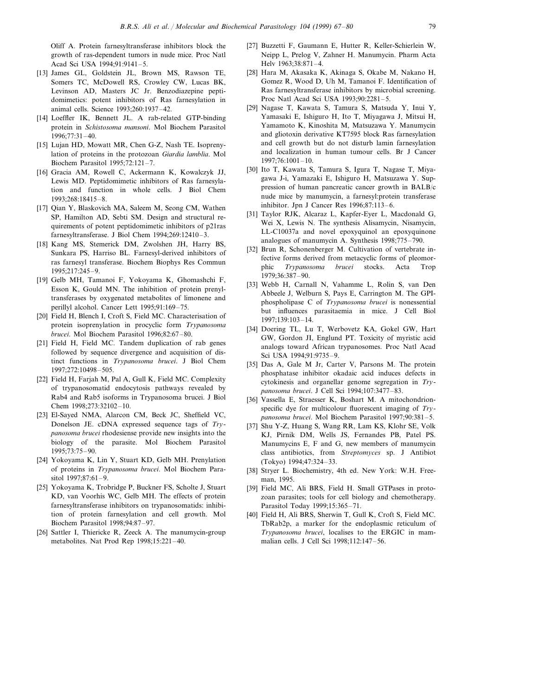Oliff A. Protein farnesyltransferase inhibitors block the growth of ras-dependent tumors in nude mice. Proc Natl Acad Sci USA 1994;91:9141–5.

- [13] James GL, Goldstein JL, Brown MS, Rawson TE, Somers TC, McDowell RS, Crowley CW, Lucas BK, Levinson AD, Masters JC Jr. Benzodiazepine peptidomimetics: potent inhibitors of Ras farnesylation in animal cells. Science 1993;260:1937–42.
- [14] Loeffler IK, Bennett JL. A rab-related GTP-binding protein in *Schistosoma mansoni*. Mol Biochem Parasitol 1996;77:31–40.
- [15] Lujan HD, Mowatt MR, Chen G-Z, Nash TE. Isoprenylation of proteins in the protozoan *Giardia lamblia*. Mol Biochem Parasitol 1995;72:121–7.
- [16] Gracia AM, Rowell C, Ackermann K, Kowalczyk JJ, Lewis MD. Peptidomimetic inhibitors of Ras farnesylation and function in whole cells. J Biol Chem 1993;268:18415–8.
- [17] Qian Y, Blaskovich MA, Saleem M, Seong CM, Wathen SP, Hamilton AD, Sebti SM. Design and structural requirements of potent peptidomimetic inhibitors of p21ras farnesyltransferase. J Biol Chem 1994;269:12410–3.
- [18] Kang MS, Stemerick DM, Zwolshen JH, Harry BS, Sunkara PS, Harriso BL. Farnesyl-derived inhibitors of ras farnesyl transferase. Biochem Biophys Res Commun 1995;217:245–9.
- [19] Gelb MH, Tamanoi F, Yokoyama K, Ghomashchi F, Esson K, Gould MN. The inhibition of protein prenyltransferases by oxygenated metabolites of limonene and perillyl alcohol. Cancer Lett 1995;91:169–75.
- [20] Field H, Blench I, Croft S, Field MC. Characterisation of protein isoprenylation in procyclic form *Trypanosoma brucei*. Mol Biochem Parasitol 1996;82:67–80.
- [21] Field H, Field MC. Tandem duplication of rab genes followed by sequence divergence and acquisition of distinct functions in *Trypanosoma brucei*. J Biol Chem 1997;272:10498–505.
- [22] Field H, Farjah M, Pal A, Gull K, Field MC. Complexity of trypanosomatid endocytosis pathways revealed by Rab4 and Rab5 isoforms in Trypanosoma brucei. J Biol Chem 1998;273:32102–10.
- [23] El-Sayed NMA, Alarcon CM, Beck JC, Sheffield VC, Donelson JE. cDNA expressed sequence tags of *Trypanosoma brucei* rhodesiense provide new insights into the biology of the parasite. Mol Biochem Parasitol 1995;73:75–90.
- [24] Yokoyama K, Lin Y, Stuart KD, Gelb MH. Prenylation of proteins in *Trypanosoma brucei*. Mol Biochem Parasitol 1997;87:61–9.
- [25] Yokoyama K, Trobridge P, Buckner FS, Scholte J, Stuart KD, van Voorhis WC, Gelb MH. The effects of protein farnesyltransferase inhibitors on trypanosomatids: inhibition of protein farnesylation and cell growth. Mol Biochem Parasitol 1998;94:87–97.
- [26] Sattler I, Thiericke R, Zeeck A. The manumycin-group metabolites. Nat Prod Rep 1998;15:221–40.
- [27] Buzzetti F, Gaumann E, Hutter R, Keller-Schierlein W, Neipp L, Prelog V, Zahner H. Manumycin. Pharm Acta Helv 1963;38:871–4.
- [28] Hara M, Akasaka K, Akinaga S, Okabe M, Nakano H, Gomez R, Wood D, Uh M, Tamanoi F. Identification of Ras farnesyltransferase inhibitors by microbial screening. Proc Natl Acad Sci USA 1993;90:2281–5.
- [29] Nagase T, Kawata S, Tamura S, Matsuda Y, Inui Y, Yamasaki E, Ishiguro H, Ito T, Miyagawa J, Mitsui H, Yamamoto K, Kinoshita M, Matsuzawa Y. Manumycin and gliotoxin derivative KT7595 block Ras farnesylation and cell growth but do not disturb lamin farnesylation and localization in human tumour cells. Br J Cancer 1997;76:1001–10.
- [30] Ito T, Kawata S, Tamura S, Igura T, Nagase T, Miyagawa J-i, Yamazaki E, Ishiguro H, Matsuzawa Y. Suppression of human pancreatic cancer growth in BALB/c nude mice by manumycin, a farnesyl:protein transferase inhibitor. Jpn J Cancer Res 1996;87:113–6.
- [31] Taylor RJK, Alcaraz L, Kapfer-Eyer L, Macdonald G, Wei X, Lewis N. The synthesis Alisamycin, Nisamycin, LL-C10037a and novel epoxyquinol an epoxyquinone analogues of manumycin A. Synthesis 1998;775–790.
- [32] Brun R, Schonenberger M. Cultivation of vertebrate infective forms derived from metacyclic forms of pleomorphic *Trypanosoma brucei* stocks. Acta Trop 1979;36:387–90.
- [33] Webb H, Carnall N, Vahamme L, Rolin S, van Den Abbeele J, Welburn S, Pays E, Carrington M. The GPIphospholipase C of *Trypanosoma brucei* is nonessential but influences parasitaemia in mice. J Cell Biol 1997;139:103–14.
- [34] Doering TL, Lu T, Werbovetz KA, Gokel GW, Hart GW, Gordon JI, Englund PT. Toxicity of myristic acid analogs toward African trypanosomes. Proc Natl Acad Sci USA 1994;91:9735–9.
- [35] Das A, Gale M Jr, Carter V, Parsons M. The protein phosphatase inhibitor okadaic acid induces defects in cytokinesis and organellar genome segregation in *Trypanosoma brucei*. J Cell Sci 1994;107:3477–83.
- [36] Vassella E, Straesser K, Boshart M. A mitochondrionspecific dye for multicolour fluorescent imaging of *Trypanosoma brucei*. Mol Biochem Parasitol 1997;90:381–5.
- [37] Shu Y-Z, Huang S, Wang RR, Lam KS, Klohr SE, Volk KJ, Pirnik DM, Wells JS, Fernandes PB, Patel PS. Manumycins E, F and G, new members of manumycin class antibiotics, from *Streptomyces* sp. J Antibiot (Tokyo) 1994;47:324–33.
- [38] Stryer L. Biochemistry, 4th ed. New York: W.H. Freeman, 1995.
- [39] Field MC, Ali BRS, Field H. Small GTPases in protozoan parasites; tools for cell biology and chemotherapy. Parasitol Today 1999;15:365–71.
- [40] Field H, Ali BRS, Sherwin T, Gull K, Croft S, Field MC. TbRab2p, a marker for the endoplasmic reticulum of *Trypanosoma brucei*, localises to the ERGIC in mammalian cells. J Cell Sci 1998;112:147–56.